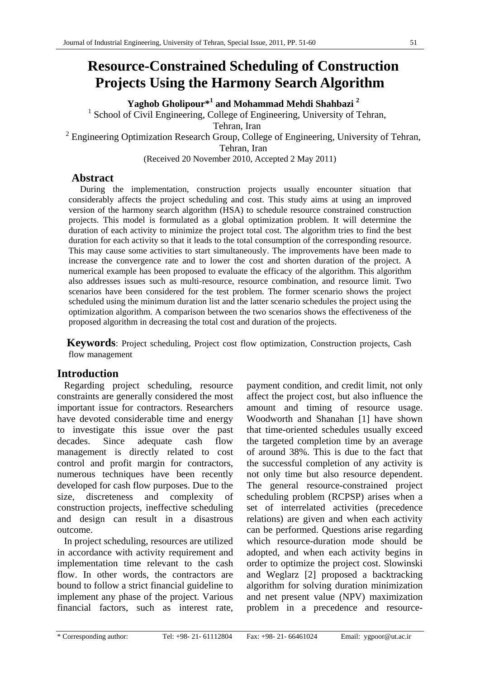# **Resource-Constrained Scheduling of Construction Projects Using the Harmony Search Algorithm**

**Yaghob Gholipour\*<sup>1</sup> and Mohammad Mehdi Shahbazi <sup>2</sup>**

<sup>1</sup> School of Civil Engineering, College of Engineering, University of Tehran,

Tehran, Iran

 $2$  Engineering Optimization Research Group, College of Engineering, University of Tehran,

Tehran, Iran

(Received 20 November 2010, Accepted 2 May 2011)

# **Abstract**

During the implementation, construction projects usually encounter situation that considerably affects the project scheduling and cost. This study aims at using an improved version of the harmony search algorithm (HSA) to schedule resource constrained construction projects. This model is formulated as a global optimization problem. It will determine the duration of each activity to minimize the project total cost. The algorithm tries to find the best duration for each activity so that it leads to the total consumption of the corresponding resource. This may cause some activities to start simultaneously. The improvements have been made to increase the convergence rate and to lower the cost and shorten duration of the project. A numerical example has been proposed to evaluate the efficacy of the algorithm. This algorithm also addresses issues such as multi-resource, resource combination, and resource limit. Two scenarios have been considered for the test problem. The former scenario shows the project scheduled using the minimum duration list and the latter scenario schedules the project using the optimization algorithm. A comparison between the two scenarios shows the effectiveness of the proposed algorithm in decreasing the total cost and duration of the projects.

**Keywords**: Project scheduling, Project cost flow optimization, Construction projects, Cash flow management

# **Introduction**

Regarding project scheduling, resource constraints are generally considered the most important issue for contractors. Researchers have devoted considerable time and energy to investigate this issue over the past decades. Since adequate cash flow management is directly related to cost control and profit margin for contractors, numerous techniques have been recently developed for cash flow purposes. Due to the size, discreteness and complexity of construction projects, ineffective scheduling and design can result in a disastrous outcome.

In project scheduling, resources are utilized in accordance with activity requirement and implementation time relevant to the cash flow. In other words, the contractors are bound to follow a strict financial guideline to implement any phase of the project. Various financial factors, such as interest rate, payment condition, and credit limit, not only affect the project cost, but also influence the amount and timing of resource usage. Woodworth and Shanahan [1] have shown that time-oriented schedules usually exceed the targeted completion time by an average of around 38%. This is due to the fact that the successful completion of any activity is not only time but also resource dependent. The general resource-constrained project scheduling problem (RCPSP) arises when a set of interrelated activities (precedence relations) are given and when each activity can be performed. Questions arise regarding which resource-duration mode should be adopted, and when each activity begins in order to optimize the project cost. Slowinski and Weglarz [2] proposed a backtracking algorithm for solving duration minimization and net present value (NPV) maximization problem in a precedence and resource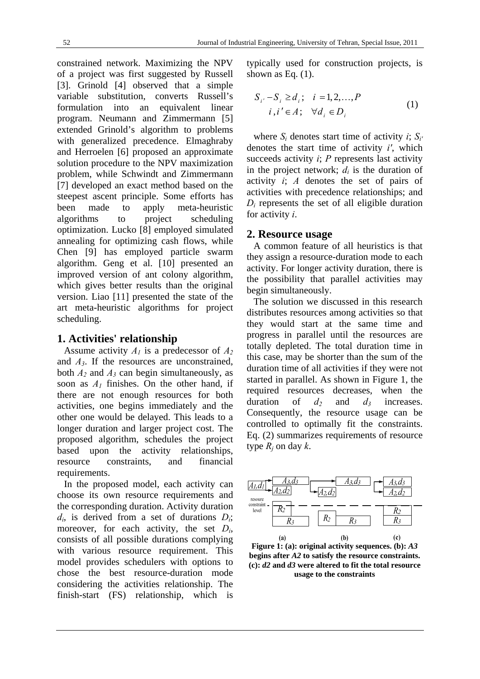constrained network. Maximizing the NPV of a project was first suggested by Russell [3]. Grinold [4] observed that a simple variable substitution, converts Russell's formulation into an equivalent linear program. Neumann and Zimmermann [5] extended Grinold's algorithm to problems with generalized precedence. Elmaghraby and Herroelen [6] proposed an approximate solution procedure to the NPV maximization problem, while Schwindt and Zimmermann [7] developed an exact method based on the steepest ascent principle. Some efforts has been made to apply meta-heuristic algorithms to project scheduling optimization. Lucko [8] employed simulated annealing for optimizing cash flows, while Chen [9] has employed particle swarm algorithm. Geng et al. [10] presented an improved version of ant colony algorithm, which gives better results than the original version. Liao [11] presented the state of the art meta-heuristic algorithms for project scheduling.

## **1. Activities' relationship**

Assume activity *A1* is a predecessor of *A2* and *A3*. If the resources are unconstrained, both *A2* and *A3* can begin simultaneously, as soon as  $A_1$  finishes. On the other hand, if there are not enough resources for both activities, one begins immediately and the other one would be delayed. This leads to a longer duration and larger project cost. The proposed algorithm, schedules the project based upon the activity relationships, resource constraints, and financial requirements.

In the proposed model, each activity can choose its own resource requirements and the corresponding duration. Activity duration *di*, is derived from a set of durations *Di*; moreover, for each activity, the set *Di*, consists of all possible durations complying with various resource requirement. This model provides schedulers with options to chose the best resource-duration mode considering the activities relationship. The finish-start (FS) relationship, which is

typically used for construction projects, is shown as Eq.  $(1)$ .

$$
S_{i'}-S_i \ge d_i; \quad i=1,2,...,P
$$
  

$$
i, i' \in A; \quad \forall d_i \in D_i
$$
 (1)

where  $S_i$  denotes start time of activity *i*;  $S_i'$ denotes the start time of activity *i'*, which succeeds activity *i*; *P* represents last activity in the project network;  $d_i$  is the duration of activity *i*; *A* denotes the set of pairs of activities with precedence relationships; and  $D_i$  represents the set of all eligible duration for activity *i*.

## **2. Resource usage**

A common feature of all heuristics is that they assign a resource-duration mode to each activity. For longer activity duration, there is the possibility that parallel activities may begin simultaneously.

The solution we discussed in this research distributes resources among activities so that they would start at the same time and progress in parallel until the resources are totally depleted. The total duration time in this case, may be shorter than the sum of the duration time of all activities if they were not started in parallel. As shown in Figure 1, the required resources decreases, when the duration of  $d_2$  and  $d_3$  increases. Consequently, the resource usage can be controlled to optimally fit the constraints. Eq. (2) summarizes requirements of resource type  $R_i$  on day  $k$ .



**Figure 1: (a): original activity sequences. (b):** *A3* **begins after** *A2* **to satisfy the resource constraints. (c):** *d2* **and** *d3* **were altered to fit the total resource usage to the constraints**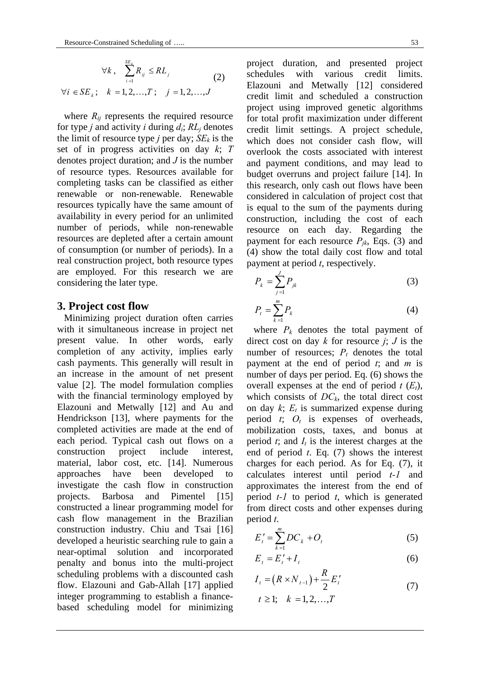$$
\forall k, \quad \sum_{i=1}^{SE_k} R_{ij} \leq RL_j
$$
  

$$
\forall i \in SE_k; \quad k = 1, 2, ..., T; \quad j = 1, 2, ..., J
$$
 (2)

where  $R_{ij}$  represents the required resource for type *j* and activity *i* during  $d_i$ ;  $RL_j$  denotes the limit of resource type *j* per day;  $SE_k$  is the set of in progress activities on day *k*; *T* denotes project duration; and *J* is the number of resource types. Resources available for completing tasks can be classified as either renewable or non-renewable. Renewable resources typically have the same amount of availability in every period for an unlimited number of periods, while non-renewable resources are depleted after a certain amount of consumption (or number of periods). In a real construction project, both resource types are employed. For this research we are considering the later type.

## **3. Project cost flow**

Minimizing project duration often carries with it simultaneous increase in project net present value. In other words, early completion of any activity, implies early cash payments. This generally will result in an increase in the amount of net present value [2]. The model formulation complies with the financial terminology employed by Elazouni and Metwally [12] and Au and Hendrickson [13], where payments for the completed activities are made at the end of each period. Typical cash out flows on a construction project include interest, material, labor cost, etc. [14]. Numerous approaches have been developed to investigate the cash flow in construction projects. Barbosa and Pimentel [15] constructed a linear programming model for cash flow management in the Brazilian construction industry. Chiu and Tsai [16] developed a heuristic searching rule to gain a near-optimal solution and incorporated penalty and bonus into the multi-project scheduling problems with a discounted cash flow. Elazouni and Gab-Allah [17] applied integer programming to establish a financebased scheduling model for minimizing project duration, and presented project schedules with various credit limits. Elazouni and Metwally [12] considered credit limit and scheduled a construction project using improved genetic algorithms for total profit maximization under different credit limit settings. A project schedule, which does not consider cash flow, will overlook the costs associated with interest and payment conditions, and may lead to budget overruns and project failure [14]. In this research, only cash out flows have been considered in calculation of project cost that is equal to the sum of the payments during construction, including the cost of each resource on each day. Regarding the payment for each resource  $P_{ik}$ , Eqs. (3) and (4) show the total daily cost flow and total payment at period *t*, respectively.

$$
P_k = \sum_{j=1}^{J} P_{jk} \tag{3}
$$

$$
P_t = \sum_{k=1}^{m} P_k \tag{4}
$$

where  $P_k$  denotes the total payment of direct cost on day *k* for resource *j*; *J* is the number of resources;  $P_t$  denotes the total payment at the end of period *t*; and *m* is number of days per period. Eq. (6) shows the overall expenses at the end of period  $t(E_t)$ , which consists of  $DC_k$ , the total direct cost on day  $k$ ;  $E_t$  is summarized expense during period  $t$ ;  $O_t$  is expenses of overheads, mobilization costs, taxes, and bonus at period  $t$ ; and  $I_t$  is the interest charges at the end of period *t*. Eq. (7) shows the interest charges for each period. As for Eq. (7), it calculates interest until period *t-1* and approximates the interest from the end of period *t-1* to period *t*, which is generated from direct costs and other expenses during period *t*.

$$
E'_{t} = \sum_{k=1}^{m} DC_{k} + O_{t}
$$
 (5)

$$
E_t = E_t' + I_t \tag{6}
$$

$$
I_{t} = (R \times N_{t-1}) + \frac{R}{2} E_{t}'
$$
  
\n
$$
t \ge 1; \quad k = 1, 2, ..., T
$$
 (7)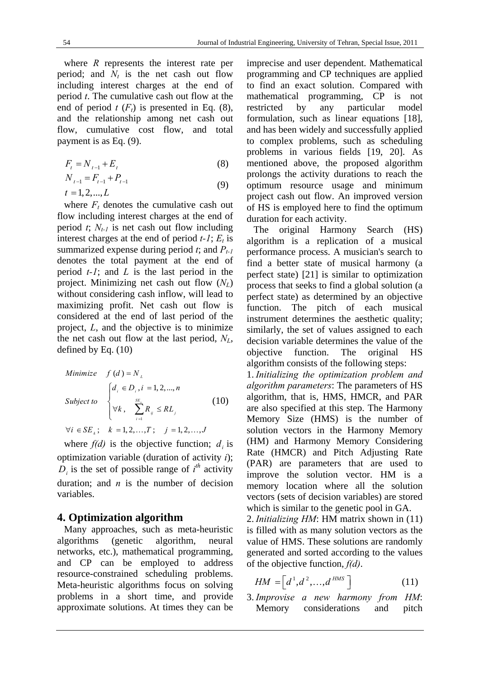where *R* represents the interest rate per period; and  $N_t$  is the net cash out flow including interest charges at the end of period *t*. The cumulative cash out flow at the end of period  $t(F_t)$  is presented in Eq. (8), and the relationship among net cash out flow, cumulative cost flow, and total payment is as Eq. (9).

$$
F_t = N_{t-1} + E_t \tag{8}
$$

$$
N_{t-1} = F_{t-1} + P_{t-1}
$$
  
\n
$$
t = 1, 2, ..., L
$$
\n(9)

where  $F_t$  denotes the cumulative cash out flow including interest charges at the end of period  $t$ ;  $N_{t-1}$  is net cash out flow including interest charges at the end of period  $t-1$ ;  $E_t$  is summarized expense during period  $t$ ; and  $P_{t-1}$ denotes the total payment at the end of period *t-1*; and *L* is the last period in the project. Minimizing net cash out flow (*NL*) without considering cash inflow, will lead to maximizing profit. Net cash out flow is considered at the end of last period of the project, *L*, and the objective is to minimize the net cash out flow at the last period, *NL*, defined by Eq. (10)

Minimize 
$$
f(d) = N_L
$$
  
\n
$$
\begin{cases}\nd_i \in D_i, i = 1, 2, ..., n \\
\text{Subject to } \forall k, \quad \sum_{i=1}^{SE_i} R_{ij} \leq RL_j \\
\forall i \in SE_k; k = 1, 2, ..., T; j = 1, 2, ..., J\n\end{cases}
$$
\n(10)

where  $f(d)$  is the objective function;  $d_i$  is optimization variable (duration of activity *i*);  $D_i$  is the set of possible range of  $i^{th}$  activity duration; and *n* is the number of decision variables.

# **4. Optimization algorithm**

Many approaches, such as meta-heuristic algorithms (genetic algorithm, neural networks, etc.), mathematical programming, and CP can be employed to address resource-constrained scheduling problems. Meta-heuristic algorithms focus on solving problems in a short time, and provide approximate solutions. At times they can be imprecise and user dependent. Mathematical programming and CP techniques are applied to find an exact solution. Compared with mathematical programming, CP is not restricted by any particular model formulation, such as linear equations [18], and has been widely and successfully applied to complex problems, such as scheduling problems in various fields [19, 20]. As mentioned above, the proposed algorithm prolongs the activity durations to reach the optimum resource usage and minimum project cash out flow. An improved version of HS is employed here to find the optimum duration for each activity.

The original Harmony Search (HS) algorithm is a replication of a musical performance process. A musician's search to find a better state of musical harmony (a perfect state) [21] is similar to optimization process that seeks to find a global solution (a perfect state) as determined by an objective function. The pitch of each musical instrument determines the aesthetic quality; similarly, the set of values assigned to each decision variable determines the value of the objective function. The original HS algorithm consists of the following steps:

1. *Initializing the optimization problem and algorithm parameters*: The parameters of HS algorithm, that is, HMS, HMCR, and PAR are also specified at this step. The Harmony Memory Size (HMS) is the number of solution vectors in the Harmony Memory (HM) and Harmony Memory Considering Rate (HMCR) and Pitch Adjusting Rate (PAR) are parameters that are used to improve the solution vector. HM is a memory location where all the solution vectors (sets of decision variables) are stored which is similar to the genetic pool in GA.

2. *Initializing HM*: HM matrix shown in (11) is filled with as many solution vectors as the value of HMS. These solutions are randomly generated and sorted according to the values of the objective function, *f(d)*.

$$
HM = \left[d^1, d^2, \dots, d^{HMS}\right] \tag{11}
$$

3. *Improvise a new harmony from HM*: Memory considerations and pitch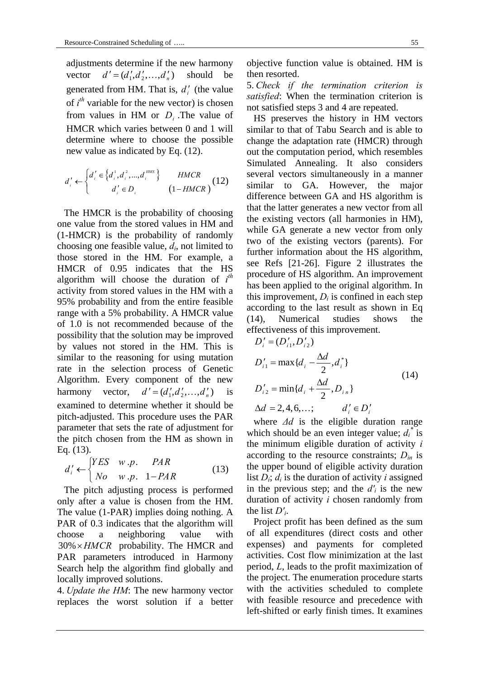adjustments determine if the new harmony vector  $d' = (d'_1, d'_2, \dots, d'_n)$  should be generated from HM. That is,  $d_i$ <sup>'</sup> (the value of  $i^{th}$  variable for the new vector) is chosen from values in HM or *Di* .The value of HMCR which varies between 0 and 1 will determine where to choose the possible new value as indicated by Eq. (12).

$$
d'_{i} \leftarrow \begin{cases} d'_{i} \in \left\{ d_{i}^{1}, d_{i}^{2}, ..., d_{i}^{HMS} \right\} & HMCR \\ d'_{i} \in D_{i} & (1-HMCR) \end{cases}
$$
 (12)

The HMCR is the probability of choosing one value from the stored values in HM and (1-HMCR) is the probability of randomly choosing one feasible value, *di*, not limited to those stored in the HM. For example, a HMCR of 0.95 indicates that the HS algorithm will choose the duration of *i th* activity from stored values in the HM with a 95% probability and from the entire feasible range with a 5% probability. A HMCR value of 1.0 is not recommended because of the possibility that the solution may be improved by values not stored in the HM. This is similar to the reasoning for using mutation rate in the selection process of Genetic Algorithm. Every component of the new harmony vector,  $d' = (d'_1, d'_2, \dots, d'_n)$  is examined to determine whether it should be pitch-adjusted. This procedure uses the PAR parameter that sets the rate of adjustment for the pitch chosen from the HM as shown in Eq. (13).

$$
d'_{i} \leftarrow \begin{cases} YES & w.p. & PAR \\ No & w.p. & 1-PAR \end{cases}
$$
 (13)

The pitch adjusting process is performed only after a value is chosen from the HM. The value (1-PAR) implies doing nothing. A PAR of 0.3 indicates that the algorithm will choose a neighboring value with 30% *HMCR* probability. The HMCR and PAR parameters introduced in Harmony Search help the algorithm find globally and locally improved solutions.

4. *Update the HM*: The new harmony vector replaces the worst solution if a better objective function value is obtained. HM is then resorted.

5. *Check if the termination criterion is satisfied*: When the termination criterion is not satisfied steps 3 and 4 are repeated.

HS preserves the history in HM vectors similar to that of Tabu Search and is able to change the adaptation rate (HMCR) through out the computation period, which resembles Simulated Annealing. It also considers several vectors simultaneously in a manner similar to GA. However, the major difference between GA and HS algorithm is that the latter generates a new vector from all the existing vectors (all harmonies in HM), while GA generate a new vector from only two of the existing vectors (parents). For further information about the HS algorithm, see Refs [21-26]. Figure 2 illustrates the procedure of HS algorithm. An improvement has been applied to the original algorithm. In this improvement,  $D_i$  is confined in each step according to the last result as shown in Eq (14), Numerical studies shows the effectiveness of this improvement.

$$
D'_{i} = (D'_{i1}, D'_{i2})
$$
  
\n
$$
D'_{i1} = \max\{d_{i} - \frac{\Delta d}{2}, d_{i}^{*}\}
$$
  
\n
$$
D'_{i2} = \min\{d_{i} + \frac{\Delta d}{2}, D_{i n}\}
$$
  
\n
$$
\Delta d = 2, 4, 6, \dots; \qquad d'_{i} \in D'_{i}
$$
\n(14)

where *Δd* is the eligible duration range which should be an even integer value;  $d_i^*$  is the minimum eligible duration of activity *i*  according to the resource constraints; *Din* is the upper bound of eligible activity duration list  $D_i$ ;  $d_i$  is the duration of activity *i* assigned in the previous step; and the  $d_i$  is the new duration of activity *i* chosen randomly from the list *D'i*.

Project profit has been defined as the sum of all expenditures (direct costs and other expenses) and payments for completed activities. Cost flow minimization at the last period, *L*, leads to the profit maximization of the project. The enumeration procedure starts with the activities scheduled to complete with feasible resource and precedence with left-shifted or early finish times. It examines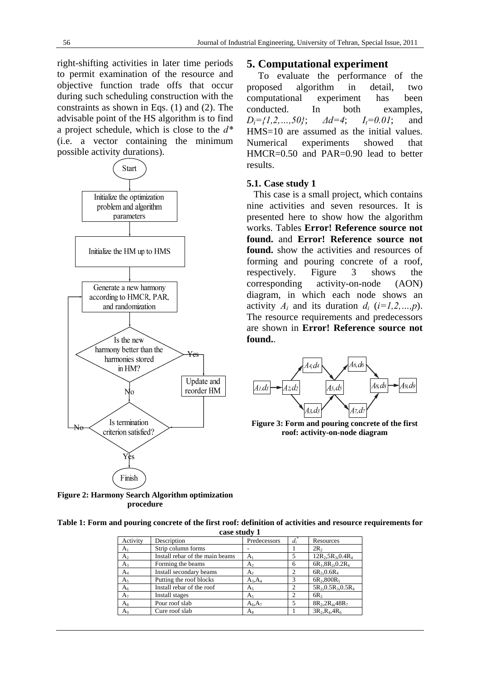right-shifting activities in later time periods to permit examination of the resource and objective function trade offs that occur during such scheduling construction with the constraints as shown in Eqs. (1) and (2). The advisable point of the HS algorithm is to find a project schedule, which is close to the *d\** (i.e. a vector containing the minimum possible activity durations).



## **5. Computational experiment**

To evaluate the performance of the proposed algorithm in detail, two computational experiment has been conducted. In both examples, *Di={1,2,…,50}*; *Δd=4*; *It=0.01*; and HMS=10 are assumed as the initial values. Numerical experiments showed that HMCR=0.50 and PAR=0.90 lead to better results.

#### **5.1. Case study 1**

This case is a small project, which contains nine activities and seven resources. It is presented here to show how the algorithm works. Tables **Error! Reference source not found.** and **Error! Reference source not found.** show the activities and resources of forming and pouring concrete of a roof, respectively. Figure 3 shows the corresponding activity-on-node (AON) diagram, in which each node shows an activity  $A_i$  and its duration  $d_i$  ( $i=1,2,...,p$ ). The resource requirements and predecessors are shown in **Error! Reference source not found.**.



**Figure 3: Form and pouring concrete of the first roof: activity-on-node diagram** 

**Figure 2: Harmony Search Algorithm optimization procedure** 

| Table 1: Form and pouring concrete of the first roof: definition of activities and resource requirements for |  |
|--------------------------------------------------------------------------------------------------------------|--|
| case study 1                                                                                                 |  |

| Case stuur 1   |                                 |                |                |                                 |  |  |
|----------------|---------------------------------|----------------|----------------|---------------------------------|--|--|
| Activity       | Description                     | Predecessors   | $d_i^*$        | Resources                       |  |  |
| A <sub>1</sub> | Strip column forms              |                |                | 2R <sub>2</sub>                 |  |  |
| A <sub>2</sub> | Install rebar of the main beams | $A_1$          | 5              | $12R_2, 5R_3, 0.4R_4$           |  |  |
| $A_3$          | Forming the beams               | $A_{2}$        | 6              | $6R_1, 8R_2, 0.2R_4$            |  |  |
| $A_4$          | Install secondary beams         | $A_{2}$        | $\overline{c}$ | $6R_2, 0.6R_4$                  |  |  |
| A <sub>5</sub> | Putting the roof blocks         | $A_3, A_4$     | $\mathcal{R}$  | $6R_2,800R_5$                   |  |  |
| A <sub>6</sub> | Install rebar of the roof       | A <sub>5</sub> | $\mathcal{D}$  | $5R_2$ , $0.5R_3$ , $0.5R_4$    |  |  |
| $A_7$          | Install stages                  | $A_5$          | 2              | 6R <sub>2</sub>                 |  |  |
| $A_{8}$        | Pour roof slab                  | $A_6, A_7$     | 5              | $8R_{2}$ , $2R_{4}$ , $48R_{7}$ |  |  |
| Aq             | Cure roof slab                  | $A_8$          |                | $3R_2$ , $R_4$ , $4R_6$         |  |  |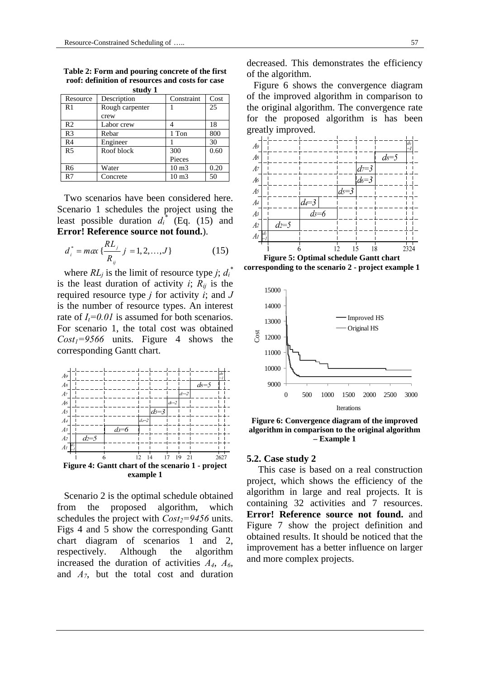| Stuuv 1        |                 |                    |      |  |  |  |  |  |
|----------------|-----------------|--------------------|------|--|--|--|--|--|
| Resource       | Description     | Constraint         | Cost |  |  |  |  |  |
| R <sub>1</sub> | Rough carpenter |                    | 25   |  |  |  |  |  |
|                | crew            |                    |      |  |  |  |  |  |
| R <sub>2</sub> | Labor crew      |                    | 18   |  |  |  |  |  |
| R <sub>3</sub> | Rebar           | 1 Ton              | 800  |  |  |  |  |  |
| R <sub>4</sub> | Engineer        |                    | 30   |  |  |  |  |  |
| R <sub>5</sub> | Roof block      | 300                | 0.60 |  |  |  |  |  |
|                |                 | Pieces             |      |  |  |  |  |  |
| R6             | Water           | 10 <sub>m3</sub>   | 0.20 |  |  |  |  |  |
| R7             | Concrete        | $10 \text{ m}$ $3$ | 50   |  |  |  |  |  |

**Table 2: Form and pouring concrete of the first roof: definition of resources and costs for case study 1** 

Two scenarios have been considered here. Scenario 1 schedules the project using the least possible duration  $d_i^*$  (Eq. (15) and **Error! Reference source not found.**).

$$
d_i^* = m\alpha x \left\{ \frac{RL_j}{R_{ij}} \ j = 1, 2, ..., J \right\}
$$
 (15)

where  $RL_j$  is the limit of resource type *j*;  $d_i^*$ is the least duration of activity  $i$ ;  $R_{ij}$  is the required resource type *j* for activity *i*; and *J* is the number of resource types. An interest rate of  $I_t = 0.01$  is assumed for both scenarios. For scenario 1, the total cost was obtained  $Cost_1 = 9566$  units. Figure 4 shows the corresponding Gantt chart.



Scenario 2 is the optimal schedule obtained from the proposed algorithm, which schedules the project with  $Cost_2 = 9456$  units. Figs 4 and 5 show the corresponding Gantt chart diagram of scenarios 1 and 2, respectively. Although the algorithm increased the duration of activities *A4*, *A6*, and *A7*, but the total cost and duration

decreased. This demonstrates the efficiency of the algorithm.

Figure 6 shows the convergence diagram of the improved algorithm in comparison to the original algorithm. The convergence rate for the proposed algorithm is has been greatly improved.



**Figure 5: Optimal schedule Gantt chart corresponding to the scenario 2 - project example 1** 



**Figure 6: Convergence diagram of the improved algorithm in comparison to the original algorithm – Example 1** 

#### **5.2. Case study 2**

This case is based on a real construction project, which shows the efficiency of the algorithm in large and real projects. It is containing 32 activities and 7 resources. **Error! Reference source not found.** and Figure 7 show the project definition and obtained results. It should be noticed that the improvement has a better influence on larger and more complex projects.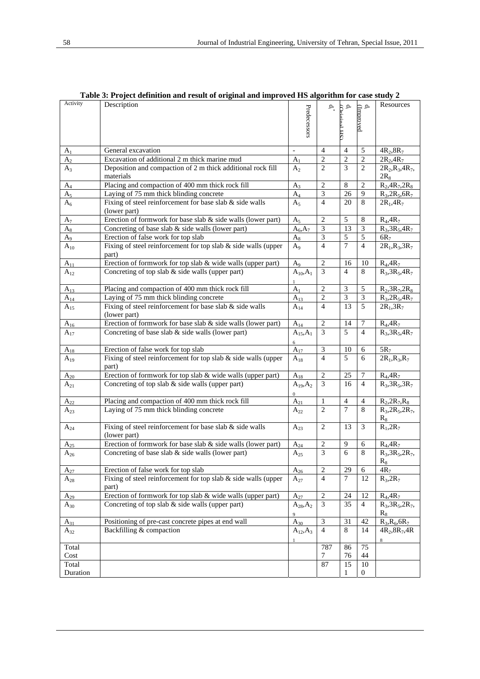| Activity             | Description                                                              |                          | $\mathbf{e}$                | Ą               |                            | Resources                   |
|----------------------|--------------------------------------------------------------------------|--------------------------|-----------------------------|-----------------|----------------------------|-----------------------------|
|                      |                                                                          |                          |                             | (Oriori         | $\mathbf{d}_i$ . (Improved |                             |
|                      |                                                                          |                          |                             |                 |                            |                             |
|                      |                                                                          | Predecessors             |                             | НÇ              |                            |                             |
|                      |                                                                          |                          |                             |                 |                            |                             |
| $A_1$                | General excavation                                                       | $\blacksquare$           | $\overline{4}$              | $\overline{4}$  | 5                          | $4R_2, 8R_7$                |
| A <sub>2</sub>       | Excavation of additional 2 m thick marine mud                            | A <sub>1</sub>           | $\mathbf{2}$                | $\overline{2}$  | $\overline{c}$             | $2R_{2}$ , $4R_{7}$         |
| $A_3$                | Deposition and compaction of 2 m thick additional rock fill              | $A_2$                    | $\overline{2}$              | 3               | 2                          | $2R_2$ , $R_3$ , $4R_7$ ,   |
|                      | materials                                                                |                          |                             |                 |                            | $2R_8$                      |
| $A_4$                | Placing and compaction of 400 mm thick rock fill                         | $A_3$                    | $\overline{2}$              | 8               | $\overline{2}$             | $R_2, 4R_7, 2R_8$           |
| $A_5$                | Laying of 75 mm thick blinding concrete                                  | $A_4$                    | $\mathfrak{Z}$              | 26              | 9                          | $R_3, 2R_5, 6R_7$           |
| A <sub>6</sub>       | Fixing of steel reinforcement for base slab $\&$ side walls              | $A_5$                    | $\overline{4}$              | 20              | 8                          | $2R_1, 4R_7$                |
|                      | (lower part)                                                             |                          |                             |                 |                            |                             |
| $A_7$                | Erection of formwork for base slab & side walls (lower part)             | A5                       | $\overline{c}$              | 5               | 8                          | $R_4, 4R_7$                 |
| $A_8$                | Concreting of base slab & side walls (lower part)                        | $A_6, A_7$               | 3                           | 13              | $\mathfrak{Z}$             | $R_3, 3R_5, 4R_7$           |
| $A_9$                | Erection of false work for top slab                                      | $A_8$                    | 3                           | $\sqrt{5}$      | 5                          | $6R_7$                      |
| $A_{10}$             | Fixing of steel reinforcement for top slab & side walls (upper           | $A_9$                    | 4                           | 7               | $\overline{4}$             | $2R_1, R_3, 3R_7$           |
|                      | part)                                                                    |                          |                             |                 |                            |                             |
| $A_{11}$             | Erection of formwork for top slab & wide walls (upper part)              | A9                       | 2                           | 16              | 10                         | $R_4, 4R_7$                 |
| $A_{12}$             | Concreting of top slab & side walls (upper part)                         | $A_{10}, A_1$            | 3                           | $\overline{4}$  | 8                          | $R_3, 3R_5, 4R_7$           |
|                      |                                                                          |                          |                             |                 |                            |                             |
| $A_{13}$             | Placing and compaction of 400 mm thick rock fill                         | $A_1$                    | 2                           | 3               | 5                          | $R_2, 3R_7, 2R_8$           |
| $A_{14}$             | Laying of 75 mm thick blinding concrete                                  | $A_{13}$                 | $\overline{2}$              | 3               | $\mathfrak{Z}$             | $R_3, 2R_5, 4R_7$           |
| $A_{15}$             | Fixing of steel reinforcement for base slab & side walls<br>(lower part) | $A_{14}$                 | $\overline{4}$              | 13              | 5                          | $2R_1, 3R_7$                |
| $A_{16}$             | Erection of formwork for base slab & side walls (lower part)             | $A_{14}$                 | 2                           | 14              | 7                          | $R_4, 4R_7$                 |
| $A_{17}$             | Concreting of base slab $\&$ side walls (lower part)                     | $A_{15}, A_1$            | 3                           | 5               | $\overline{4}$             | $R_3, 3R_5, 4R_7$           |
|                      |                                                                          | 6                        |                             |                 |                            |                             |
| $A_{18}$             | Erection of false work for top slab                                      | $A_{17}$                 | $\ensuremath{\mathfrak{Z}}$ | 10              | 6                          | $5R_7$                      |
| $A_{19}$             | Fixing of steel reinforcement for top slab & side walls (upper<br>part)  | $A_{18}$                 | $\overline{4}$              | 5               | 6                          | $2R_1, R_3, R_7$            |
| $A_{20}$             | Erection of formwork for top slab & wide walls (upper part)              | $A_{18}$                 | $\overline{2}$              | 25              | 7                          | $R_4, 4R_7$                 |
| $A_{21}$             | Concreting of top slab & side walls (upper part)                         | $A_{19}, A_2$            | 3                           | 16              | $\overline{4}$             | $R_3, 3R_5, 3R_7$           |
|                      |                                                                          | 0                        |                             |                 |                            |                             |
| $A_{22}$             | Placing and compaction of 400 mm thick rock fill                         | $A_{21}$                 | 1                           | 4               | 4                          | $R_2, 2R_7, R_8$            |
| $A_{23}$             | Laying of 75 mm thick blinding concrete                                  | $A_{22}$                 | 2                           | 7               | 8                          | $R_3, 2R_5, 2R_7,$<br>$R_8$ |
| $A_{24}$             | Fixing of steel reinforcement for base slab & side walls                 | $A_{23}$                 | $\overline{2}$              | 13              | 3                          | $R_1, 2R_7$                 |
|                      | (lower part)                                                             |                          |                             |                 |                            |                             |
| $A_{25}$             | Erection of formwork for base slab & side walls (lower part)             | $A_{24}$                 | 2                           | 9               | 6                          | $R_4, 4R_7$                 |
| $A_{26}$             | Concreting of base slab $\&$ side walls (lower part)                     | $A_{25}$                 | 3                           | 6               | 8                          | $R_3, 3R_5, 2R_7,$          |
|                      |                                                                          |                          |                             |                 |                            | $R_8$                       |
| $A_{27}$             | Erection of false work for top slab                                      | $A_{26}$                 | $\mathbf{2}$                | 29              | 6                          | $4R_7$                      |
| $A_{28}$             | Fixing of steel reinforcement for top slab & side walls (upper<br>part)  | $A_{27}$                 | 4                           | $\tau$          | 12                         | $R_3, 2R_7$                 |
|                      | Erection of formwork for top slab & wide walls (upper part)              |                          | $\overline{2}$              | 24              | 12                         | $R_4, 4R_7$                 |
| $A_{29}$<br>$A_{30}$ | Concreting of top slab $\&$ side walls (upper part)                      | $A_{27}$<br>$A_{28},A_2$ | 3                           | $\overline{35}$ | $\overline{4}$             | $R_3, 3R_5, 2R_7$           |
|                      |                                                                          | 9                        |                             |                 |                            | $R_8$                       |
| $A_{31}$             | Positioning of pre-cast concrete pipes at end wall                       | $A_{30}$                 | 3                           | 31              | 42                         | $R_3, R_6, 6R_7$            |
| $A_{32}$             | Backfilling & compaction                                                 | $A_{12},A_3$             | $\overline{4}$              | 8               | 14                         | $4R_2, 8R_7, 4R$            |
|                      |                                                                          |                          |                             |                 |                            | 8                           |
| Total                |                                                                          |                          | 787                         | 86              | 75                         |                             |
| Cost                 |                                                                          |                          | 7                           | 76              | 44                         |                             |
| Total                |                                                                          |                          | 87                          | 15              | 10                         |                             |
| Duration             |                                                                          |                          |                             | 1               | 0                          |                             |

**Table 3: Project definition and result of original and improved HS algorithm for case study 2**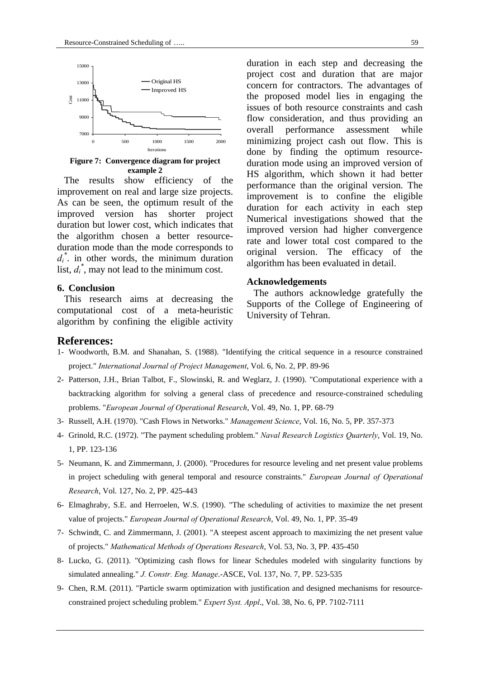

**Figure 7: Convergence diagram for project example 2** 

The results show efficiency of the improvement on real and large size projects. As can be seen, the optimum result of the improved version has shorter project duration but lower cost, which indicates that the algorithm chosen a better resourceduration mode than the mode corresponds to  $d_i$ <sup>\*</sup>. in other words, the minimum duration list,  $d_i^*$ , may not lead to the minimum cost.

## **6. Conclusion**

This research aims at decreasing the computational cost of a meta-heuristic algorithm by confining the eligible activity

duration in each step and decreasing the project cost and duration that are major concern for contractors. The advantages of the proposed model lies in engaging the issues of both resource constraints and cash flow consideration, and thus providing an overall performance assessment while minimizing project cash out flow. This is done by finding the optimum resourceduration mode using an improved version of HS algorithm, which shown it had better performance than the original version. The improvement is to confine the eligible duration for each activity in each step Numerical investigations showed that the improved version had higher convergence rate and lower total cost compared to the original version. The efficacy of the algorithm has been evaluated in detail.

#### **Acknowledgements**

The authors acknowledge gratefully the Supports of the College of Engineering of University of Tehran.

### **References:**

- 1- Woodworth, B.M. and Shanahan, S. (1988). "Identifying the critical sequence in a resource constrained project." *International Journal of Project Management*, Vol. 6, No. 2, PP. 89-96
- 2- Patterson, J.H., Brian Talbot, F., Slowinski, R. and Weglarz, J. (1990). "Computational experience with a backtracking algorithm for solving a general class of precedence and resource-constrained scheduling problems. "*European Journal of Operational Research*, Vol. 49, No. 1, PP. 68-79
- 3- Russell, A.H. (1970). "Cash Flows in Networks." *Management Science*, Vol. 16, No. 5, PP. 357-373
- 4- Grinold, R.C. (1972). "The payment scheduling problem." *Naval Research Logistics Quarterly*, Vol. 19, No. 1, PP. 123-136
- 5- Neumann, K. and Zimmermann, J. (2000). "Procedures for resource leveling and net present value problems in project scheduling with general temporal and resource constraints." *European Journal of Operational Research*, Vol. 127, No. 2, PP. 425-443
- 6- Elmaghraby, S.E. and Herroelen, W.S. (1990). "The scheduling of activities to maximize the net present value of projects." *European Journal of Operational Research*, Vol. 49, No. 1, PP. 35-49
- 7- Schwindt, C. and Zimmermann, J. (2001). "A steepest ascent approach to maximizing the net present value of projects." *Mathematical Methods of Operations Research*, Vol. 53, No. 3, PP. 435-450
- 8- Lucko, G. (2011). "Optimizing cash flows for linear Schedules modeled with singularity functions by simulated annealing." *J. Constr. Eng. Manage*.-ASCE, Vol. 137, No. 7, PP. 523-535
- 9- Chen, R.M. (2011). "Particle swarm optimization with justification and designed mechanisms for resourceconstrained project scheduling problem." *Expert Syst. Appl*., Vol. 38, No. 6, PP. 7102-7111